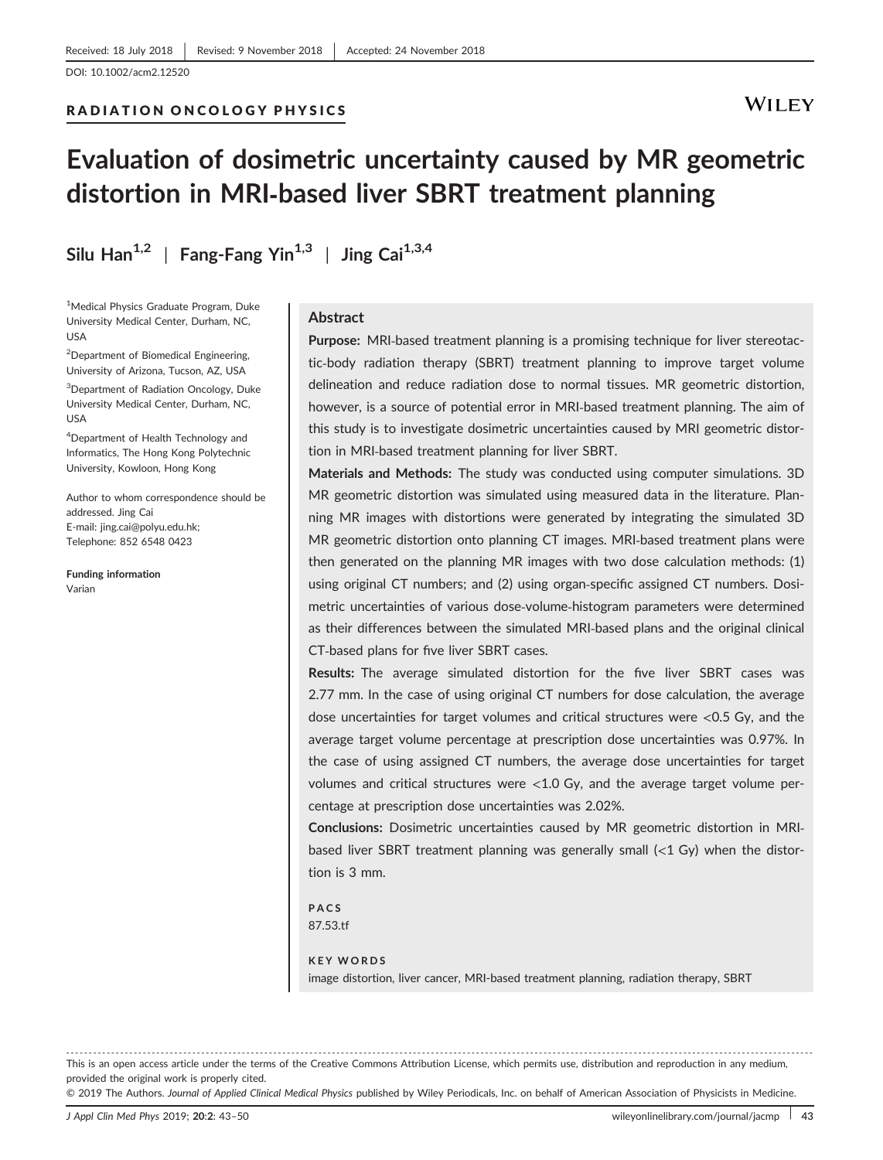DOI: 10.1002/acm2.12520

### **WILEY**

# Evaluation of dosimetric uncertainty caused by MR geometric distortion in MRI‐based liver SBRT treatment planning

Silu Han<sup>1,2</sup> | Fang-Fang Yin<sup>1,3</sup> | Jing Cai<sup>1,3,4</sup>

RADIATION ONCOLOGY PHYSICS

1 Medical Physics Graduate Program, Duke University Medical Center, Durham, NC, USA

<sup>2</sup>Department of Biomedical Engineering, University of Arizona, Tucson, AZ, USA

3 Department of Radiation Oncology, Duke University Medical Center, Durham, NC, USA

<sup>4</sup>Department of Health Technology and Informatics, The Hong Kong Polytechnic University, Kowloon, Hong Kong

Author to whom correspondence should be addressed. Jing Cai E-mail: [jing.cai@polyu.edu.hk](mailto:); Telephone: 852 6548 0423

Funding information Varian

#### **Abstract**

Purpose: MRI-based treatment planning is a promising technique for liver stereotactic‐body radiation therapy (SBRT) treatment planning to improve target volume delineation and reduce radiation dose to normal tissues. MR geometric distortion, however, is a source of potential error in MRI‐based treatment planning. The aim of this study is to investigate dosimetric uncertainties caused by MRI geometric distortion in MRI‐based treatment planning for liver SBRT.

Materials and Methods: The study was conducted using computer simulations. 3D MR geometric distortion was simulated using measured data in the literature. Planning MR images with distortions were generated by integrating the simulated 3D MR geometric distortion onto planning CT images. MRI‐based treatment plans were then generated on the planning MR images with two dose calculation methods: (1) using original CT numbers; and (2) using organ‐specific assigned CT numbers. Dosimetric uncertainties of various dose‐volume‐histogram parameters were determined as their differences between the simulated MRI‐based plans and the original clinical CT‐based plans for five liver SBRT cases.

Results: The average simulated distortion for the five liver SBRT cases was 2.77 mm. In the case of using original CT numbers for dose calculation, the average dose uncertainties for target volumes and critical structures were <0.5 Gy, and the average target volume percentage at prescription dose uncertainties was 0.97%. In the case of using assigned CT numbers, the average dose uncertainties for target volumes and critical structures were  $<1.0$  Gy, and the average target volume percentage at prescription dose uncertainties was 2.02%.

Conclusions: Dosimetric uncertainties caused by MR geometric distortion in MRI‐ based liver SBRT treatment planning was generally small (<1 Gy) when the distortion is 3 mm.

PACS 87.53.tf

KEY WORDS image distortion, liver cancer, MRI-based treatment planning, radiation therapy, SBRT

------------------------------------------------------------------------------------------------------------------------------- --------------------------------------- This is an open access article under the terms of the [Creative Commons Attribution](http://creativecommons.org/licenses/by/4.0/) License, which permits use, distribution and reproduction in any medium, provided the original work is properly cited.

© 2019 The Authors. Journal of Applied Clinical Medical Physics published by Wiley Periodicals, Inc. on behalf of American Association of Physicists in Medicine.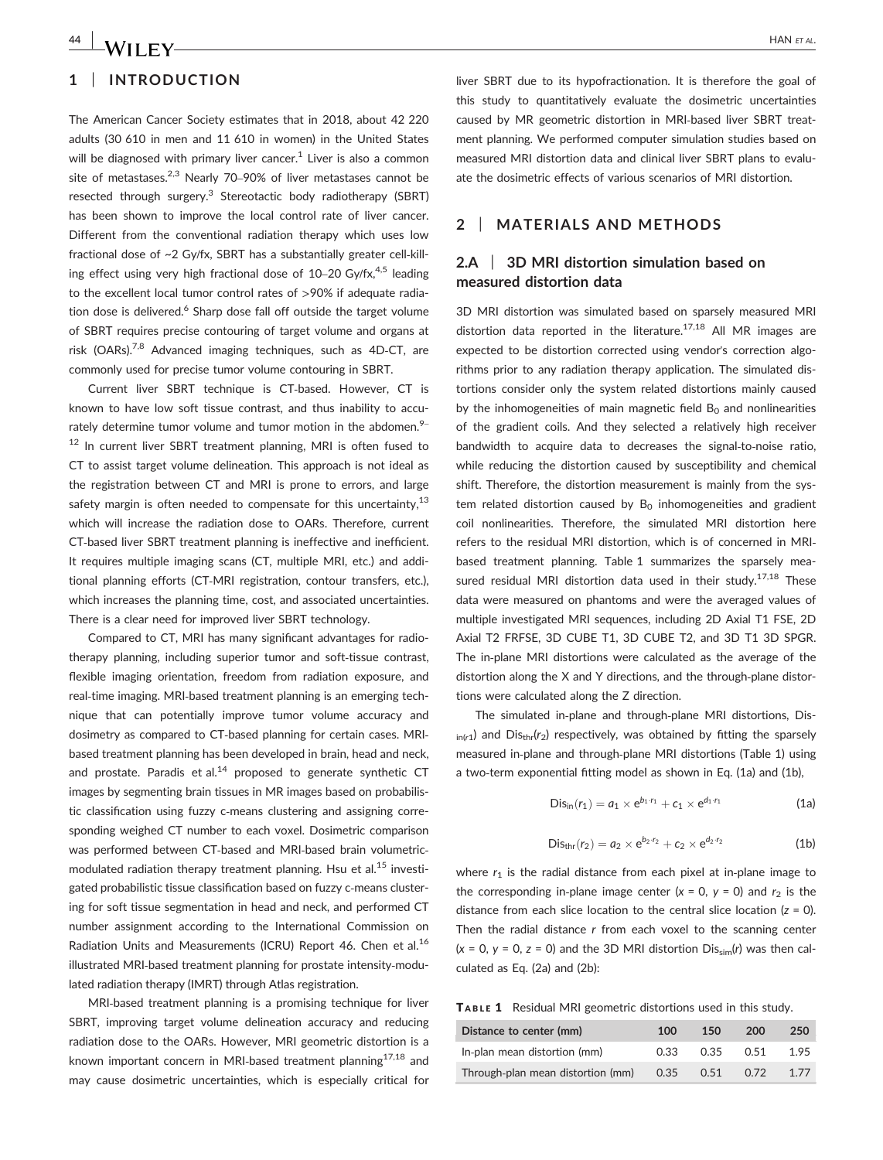#### 1 | INTRODUCTION

The American Cancer Society estimates that in 2018, about 42 220 adults (30 610 in men and 11 610 in women) in the United States will be diagnosed with primary liver cancer.<sup>1</sup> Liver is also a common site of metastases. $2,3$  Nearly 70–90% of liver metastases cannot be resected through surgery.<sup>3</sup> Stereotactic body radiotherapy (SBRT) has been shown to improve the local control rate of liver cancer. Different from the conventional radiation therapy which uses low fractional dose of ~2 Gy/fx, SBRT has a substantially greater cell-killing effect using very high fractional dose of  $10-20$  Gy/fx,<sup>4,5</sup> leading to the excellent local tumor control rates of >90% if adequate radiation dose is delivered.<sup>6</sup> Sharp dose fall off outside the target volume of SBRT requires precise contouring of target volume and organs at risk (OARs).7,8 Advanced imaging techniques, such as 4D‐CT, are commonly used for precise tumor volume contouring in SBRT.

Current liver SBRT technique is CT‐based. However, CT is known to have low soft tissue contrast, and thus inability to accurately determine tumor volume and tumor motion in the abdomen. $9-$ <sup>12</sup> In current liver SBRT treatment planning, MRI is often fused to CT to assist target volume delineation. This approach is not ideal as the registration between CT and MRI is prone to errors, and large safety margin is often needed to compensate for this uncertainty,  $13$ which will increase the radiation dose to OARs. Therefore, current CT-based liver SBRT treatment planning is ineffective and inefficient. It requires multiple imaging scans (CT, multiple MRI, etc.) and additional planning efforts (CT‐MRI registration, contour transfers, etc.), which increases the planning time, cost, and associated uncertainties. There is a clear need for improved liver SBRT technology.

Compared to CT, MRI has many significant advantages for radiotherapy planning, including superior tumor and soft‐tissue contrast, flexible imaging orientation, freedom from radiation exposure, and real-time imaging. MRI-based treatment planning is an emerging technique that can potentially improve tumor volume accuracy and dosimetry as compared to CT‐based planning for certain cases. MRI‐ based treatment planning has been developed in brain, head and neck, and prostate. Paradis et al. $^{14}$  proposed to generate synthetic CT images by segmenting brain tissues in MR images based on probabilistic classification using fuzzy c‐means clustering and assigning corresponding weighed CT number to each voxel. Dosimetric comparison was performed between CT-based and MRI-based brain volumetricmodulated radiation therapy treatment planning. Hsu et al. $15$  investigated probabilistic tissue classification based on fuzzy c-means clustering for soft tissue segmentation in head and neck, and performed CT number assignment according to the International Commission on Radiation Units and Measurements (ICRU) Report 46. Chen et al.<sup>16</sup> illustrated MRI‐based treatment planning for prostate intensity‐modulated radiation therapy (IMRT) through Atlas registration.

MRI-based treatment planning is a promising technique for liver SBRT, improving target volume delineation accuracy and reducing radiation dose to the OARs. However, MRI geometric distortion is a known important concern in MRI-based treatment planning $17,18$  and may cause dosimetric uncertainties, which is especially critical for liver SBRT due to its hypofractionation. It is therefore the goal of this study to quantitatively evaluate the dosimetric uncertainties caused by MR geometric distortion in MRI‐based liver SBRT treatment planning. We performed computer simulation studies based on measured MRI distortion data and clinical liver SBRT plans to evaluate the dosimetric effects of various scenarios of MRI distortion.

#### 2 | MATERIALS AND METHODS

#### 2.A 3D MRI distortion simulation based on measured distortion data

3D MRI distortion was simulated based on sparsely measured MRI distortion data reported in the literature.<sup>17,18</sup> All MR images are expected to be distortion corrected using vendor's correction algorithms prior to any radiation therapy application. The simulated distortions consider only the system related distortions mainly caused by the inhomogeneities of main magnetic field  $B_0$  and nonlinearities of the gradient coils. And they selected a relatively high receiver bandwidth to acquire data to decreases the signal‐to‐noise ratio, while reducing the distortion caused by susceptibility and chemical shift. Therefore, the distortion measurement is mainly from the system related distortion caused by  $B_0$  inhomogeneities and gradient coil nonlinearities. Therefore, the simulated MRI distortion here refers to the residual MRI distortion, which is of concerned in MRI‐ based treatment planning. Table 1 summarizes the sparsely measured residual MRI distortion data used in their study.<sup>17,18</sup> These data were measured on phantoms and were the averaged values of multiple investigated MRI sequences, including 2D Axial T1 FSE, 2D Axial T2 FRFSE, 3D CUBE T1, 3D CUBE T2, and 3D T1 3D SPGR. The in‐plane MRI distortions were calculated as the average of the distortion along the X and Y directions, and the through‐plane distortions were calculated along the Z direction.

The simulated in‐plane and through‐plane MRI distortions, Dis- $_{\text{in}(r1)}$  and Dis<sub>thr</sub>( $r_2$ ) respectively, was obtained by fitting the sparsely measured in‐plane and through‐plane MRI distortions (Table 1) using a two-term exponential fitting model as shown in Eq. (1a) and (1b),

$$
Dis_{in}(r_1) = a_1 \times e^{b_1 \cdot r_1} + c_1 \times e^{d_1 \cdot r_1}
$$
 (1a)

$$
Disthr(r2) = a2 \times eb2 r2 + c2 \times ed2 r2
$$
 (1b)

where  $r_1$  is the radial distance from each pixel at in-plane image to the corresponding in-plane image center  $(x = 0, y = 0)$  and  $r_2$  is the distance from each slice location to the central slice location  $(z = 0)$ . Then the radial distance r from each voxel to the scanning center  $(x = 0, y = 0, z = 0)$  and the 3D MRI distortion  $Dis_{sim}(r)$  was then calculated as Eq. (2a) and (2b):

TABLE 1 Residual MRI geometric distortions used in this study.

| Distance to center (mm)           | 100  | 150  | 200  | 250  |
|-----------------------------------|------|------|------|------|
| In-plan mean distortion (mm)      | 0.33 | 0.35 | 0.51 | 1.95 |
| Through-plan mean distortion (mm) | 0.35 | 0.51 | 0.72 | 1.77 |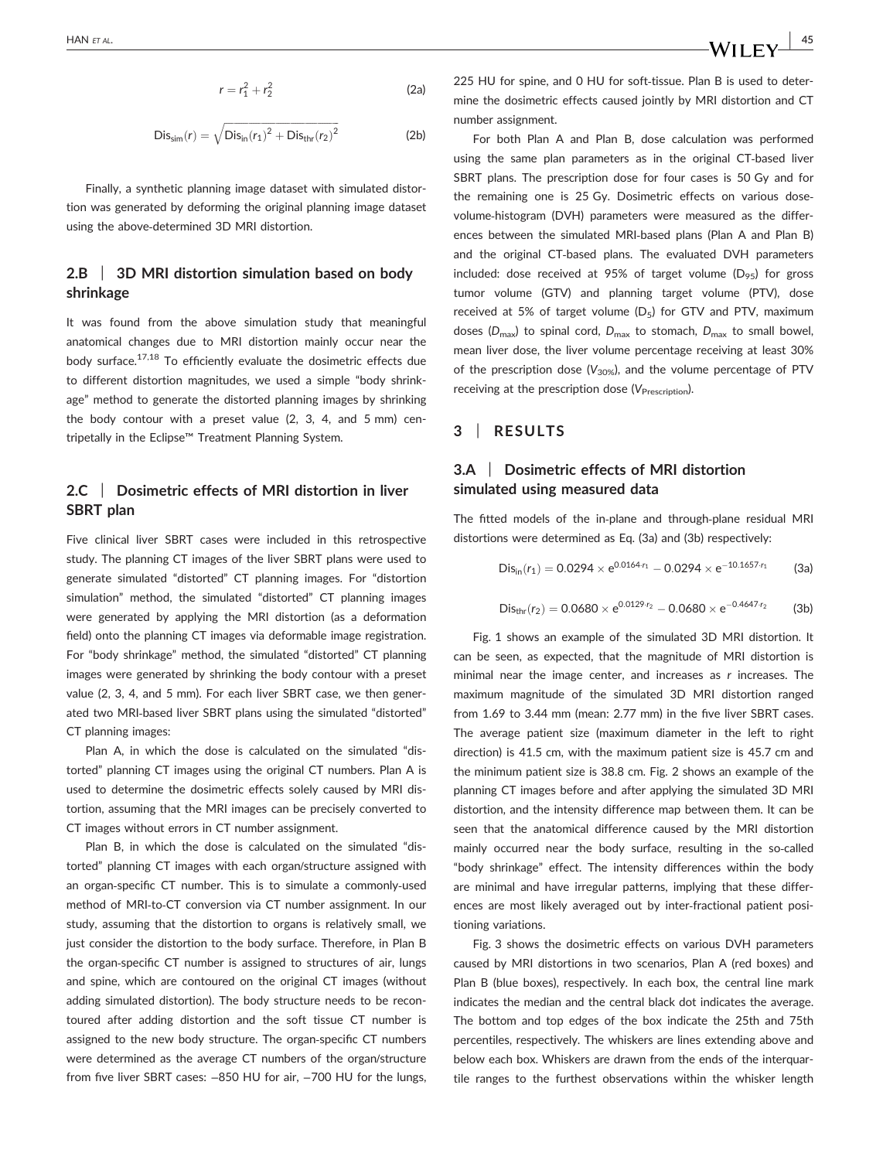$$
r = r_1^2 + r_2^2 \tag{2a}
$$

$$
Dissim(r) = \sqrt{Disin(r1)2 + Disthr(r2)2}
$$
 (2b)

Finally, a synthetic planning image dataset with simulated distortion was generated by deforming the original planning image dataset using the above‐determined 3D MRI distortion.

#### 2.B | 3D MRI distortion simulation based on body shrinkage

It was found from the above simulation study that meaningful anatomical changes due to MRI distortion mainly occur near the bodv surface.<sup>17,18</sup> To efficiently evaluate the dosimetric effects due to different distortion magnitudes, we used a simple "body shrinkage" method to generate the distorted planning images by shrinking the body contour with a preset value (2, 3, 4, and 5 mm) centripetally in the Eclipse™ Treatment Planning System.

#### 2.C | Dosimetric effects of MRI distortion in liver SBRT plan

Five clinical liver SBRT cases were included in this retrospective study. The planning CT images of the liver SBRT plans were used to generate simulated "distorted" CT planning images. For "distortion simulation" method, the simulated "distorted" CT planning images were generated by applying the MRI distortion (as a deformation field) onto the planning CT images via deformable image registration. For "body shrinkage" method, the simulated "distorted" CT planning images were generated by shrinking the body contour with a preset value (2, 3, 4, and 5 mm). For each liver SBRT case, we then generated two MRI‐based liver SBRT plans using the simulated "distorted" CT planning images:

Plan A, in which the dose is calculated on the simulated "distorted" planning CT images using the original CT numbers. Plan A is used to determine the dosimetric effects solely caused by MRI distortion, assuming that the MRI images can be precisely converted to CT images without errors in CT number assignment.

Plan B, in which the dose is calculated on the simulated "distorted" planning CT images with each organ/structure assigned with an organ‐specific CT number. This is to simulate a commonly‐used method of MRI‐to‐CT conversion via CT number assignment. In our study, assuming that the distortion to organs is relatively small, we just consider the distortion to the body surface. Therefore, in Plan B the organ‐specific CT number is assigned to structures of air, lungs and spine, which are contoured on the original CT images (without adding simulated distortion). The body structure needs to be recontoured after adding distortion and the soft tissue CT number is assigned to the new body structure. The organ‐specific CT numbers were determined as the average CT numbers of the organ/structure from five liver SBRT cases: -850 HU for air, -700 HU for the lungs,

225 HU for spine, and 0 HU for soft-tissue. Plan B is used to determine the dosimetric effects caused jointly by MRI distortion and CT number assignment.

For both Plan A and Plan B, dose calculation was performed using the same plan parameters as in the original CT‐based liver SBRT plans. The prescription dose for four cases is 50 Gy and for the remaining one is 25 Gy. Dosimetric effects on various dose‐ volume-histogram (DVH) parameters were measured as the differences between the simulated MRI-based plans (Plan A and Plan B) and the original CT-based plans. The evaluated DVH parameters included: dose received at 95% of target volume ( $D_{95}$ ) for gross tumor volume (GTV) and planning target volume (PTV), dose received at 5% of target volume  $(D_5)$  for GTV and PTV, maximum doses ( $D_{\text{max}}$ ) to spinal cord,  $D_{\text{max}}$  to stomach,  $D_{\text{max}}$  to small bowel, mean liver dose, the liver volume percentage receiving at least 30% of the prescription dose ( $V_{30\%}$ ), and the volume percentage of PTV receiving at the prescription dose  $(V_{\text{Prescription}})$ .

#### 3 | RESULTS

#### 3.A | Dosimetric effects of MRI distortion simulated using measured data

The fitted models of the in‐plane and through‐plane residual MRI distortions were determined as Eq. (3a) and (3b) respectively:

$$
Dis_{in}(r_1) = 0.0294 \times e^{0.0164 \cdot r_1} - 0.0294 \times e^{-10.1657 \cdot r_1}
$$
 (3a)

$$
Disthr(r2) = 0.0680 \times e^{0.0129 \cdot r_2} - 0.0680 \times e^{-0.4647 \cdot r_2}
$$
 (3b)

Fig. 1 shows an example of the simulated 3D MRI distortion. It can be seen, as expected, that the magnitude of MRI distortion is minimal near the image center, and increases as r increases. The maximum magnitude of the simulated 3D MRI distortion ranged from 1.69 to 3.44 mm (mean: 2.77 mm) in the five liver SBRT cases. The average patient size (maximum diameter in the left to right direction) is 41.5 cm, with the maximum patient size is 45.7 cm and the minimum patient size is 38.8 cm. Fig. 2 shows an example of the planning CT images before and after applying the simulated 3D MRI distortion, and the intensity difference map between them. It can be seen that the anatomical difference caused by the MRI distortion mainly occurred near the body surface, resulting in the so-called "body shrinkage" effect. The intensity differences within the body are minimal and have irregular patterns, implying that these differences are most likely averaged out by inter-fractional patient positioning variations.

Fig. 3 shows the dosimetric effects on various DVH parameters caused by MRI distortions in two scenarios, Plan A (red boxes) and Plan B (blue boxes), respectively. In each box, the central line mark indicates the median and the central black dot indicates the average. The bottom and top edges of the box indicate the 25th and 75th percentiles, respectively. The whiskers are lines extending above and below each box. Whiskers are drawn from the ends of the interquartile ranges to the furthest observations within the whisker length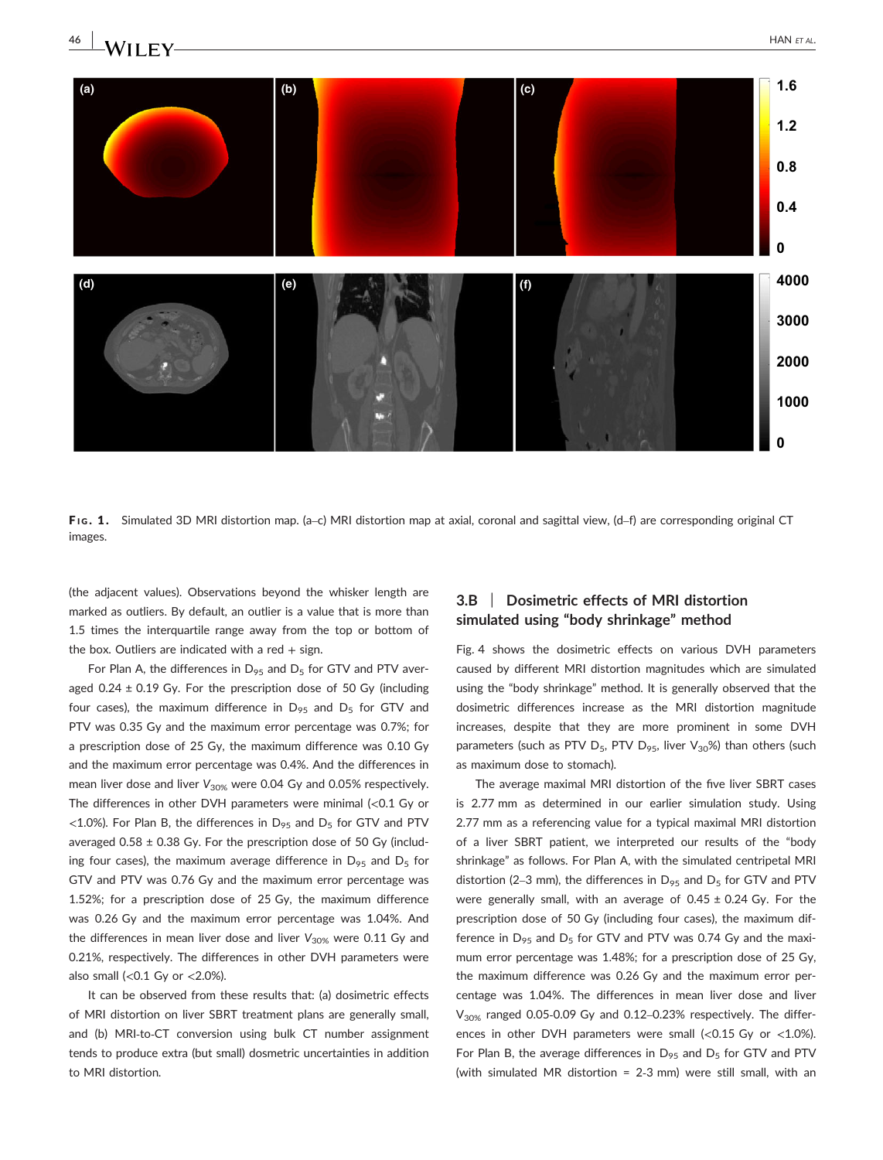

FIG. 1. Simulated 3D MRI distortion map. (a-c) MRI distortion map at axial, coronal and sagittal view, (d-f) are corresponding original CT images.

(the adjacent values). Observations beyond the whisker length are marked as outliers. By default, an outlier is a value that is more than 1.5 times the interquartile range away from the top or bottom of the box. Outliers are indicated with a red  $+$  sign.

For Plan A, the differences in  $D_{95}$  and  $D_5$  for GTV and PTV averaged  $0.24 \pm 0.19$  Gy. For the prescription dose of 50 Gy (including four cases), the maximum difference in  $D_{95}$  and  $D_{5}$  for GTV and PTV was 0.35 Gy and the maximum error percentage was 0.7%; for a prescription dose of 25 Gy, the maximum difference was 0.10 Gy and the maximum error percentage was 0.4%. And the differences in mean liver dose and liver  $V_{30\%}$  were 0.04 Gy and 0.05% respectively. The differences in other DVH parameters were minimal (<0.1 Gy or  $<$ 1.0%). For Plan B, the differences in D<sub>95</sub> and D<sub>5</sub> for GTV and PTV averaged  $0.58 \pm 0.38$  Gy. For the prescription dose of 50 Gy (including four cases), the maximum average difference in  $D_{95}$  and  $D_{5}$  for GTV and PTV was 0.76 Gy and the maximum error percentage was 1.52%; for a prescription dose of 25 Gy, the maximum difference was 0.26 Gy and the maximum error percentage was 1.04%. And the differences in mean liver dose and liver  $V_{30\%}$  were 0.11 Gy and 0.21%, respectively. The differences in other DVH parameters were also small (< $0.1$  Gy or < $2.0\%$ ).

It can be observed from these results that: (a) dosimetric effects of MRI distortion on liver SBRT treatment plans are generally small, and (b) MRI-to-CT conversion using bulk CT number assignment tends to produce extra (but small) dosmetric uncertainties in addition to MRI distortion.

### 3.B | Dosimetric effects of MRI distortion simulated using "body shrinkage" method

Fig. 4 shows the dosimetric effects on various DVH parameters caused by different MRI distortion magnitudes which are simulated using the "body shrinkage" method. It is generally observed that the dosimetric differences increase as the MRI distortion magnitude increases, despite that they are more prominent in some DVH parameters (such as PTV  $D_5$ , PTV  $D_{95}$ , liver  $V_{30}$ %) than others (such as maximum dose to stomach).

The average maximal MRI distortion of the five liver SBRT cases is 2.77 mm as determined in our earlier simulation study. Using 2.77 mm as a referencing value for a typical maximal MRI distortion of a liver SBRT patient, we interpreted our results of the "body shrinkage" as follows. For Plan A, with the simulated centripetal MRI distortion (2–3 mm), the differences in  $D_{95}$  and  $D_{5}$  for GTV and PTV were generally small, with an average of  $0.45 \pm 0.24$  Gy. For the prescription dose of 50 Gy (including four cases), the maximum difference in  $D_{95}$  and  $D_{5}$  for GTV and PTV was 0.74 Gy and the maximum error percentage was 1.48%; for a prescription dose of 25 Gy, the maximum difference was 0.26 Gy and the maximum error percentage was 1.04%. The differences in mean liver dose and liver  $V_{30\%}$  ranged 0.05-0.09 Gy and 0.12–0.23% respectively. The differences in other DVH parameters were small  $\langle$ <0.15 Gy or <1.0%). For Plan B, the average differences in  $D_{95}$  and  $D_5$  for GTV and PTV (with simulated MR distortion = 2‐3 mm) were still small, with an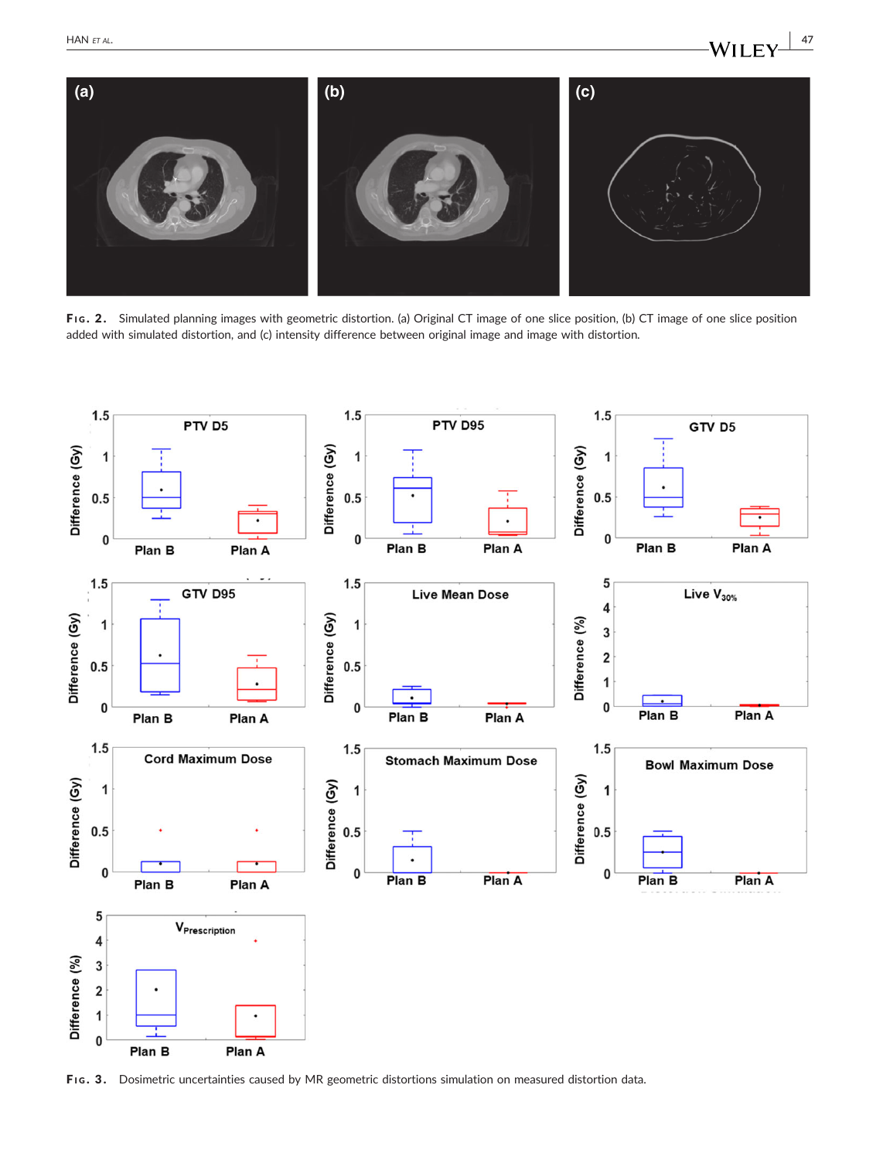

FIG. 2. Simulated planning images with geometric distortion. (a) Original CT image of one slice position, (b) CT image of one slice position added with simulated distortion, and (c) intensity difference between original image and image with distortion.



FIG. 3. Dosimetric uncertainties caused by MR geometric distortions simulation on measured distortion data.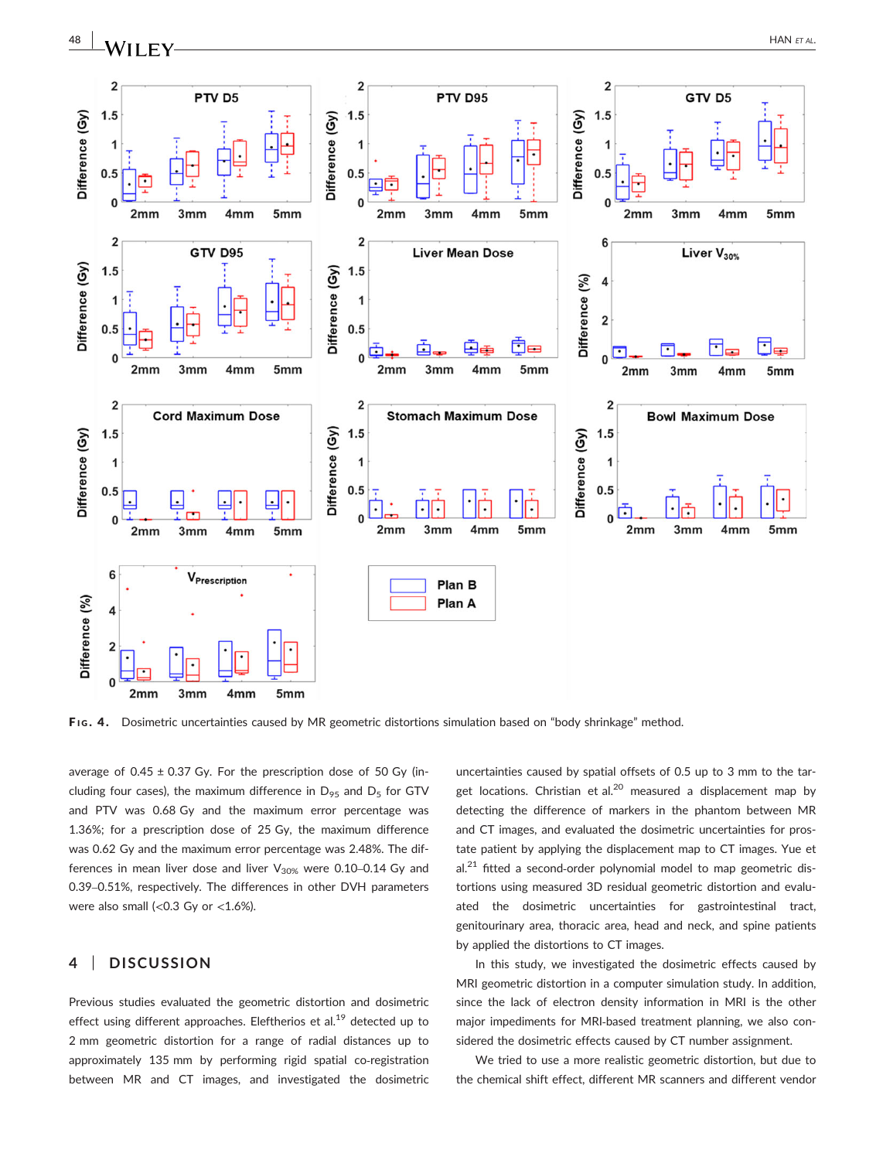

FIG. 4. Dosimetric uncertainties caused by MR geometric distortions simulation based on "body shrinkage" method.

average of  $0.45 \pm 0.37$  Gy. For the prescription dose of 50 Gy (including four cases), the maximum difference in  $D_{95}$  and  $D_{5}$  for GTV and PTV was 0.68 Gy and the maximum error percentage was 1.36%; for a prescription dose of 25 Gy, the maximum difference was 0.62 Gy and the maximum error percentage was 2.48%. The differences in mean liver dose and liver  $V_{30\%}$  were 0.10-0.14 Gy and 0.39–0.51%, respectively. The differences in other DVH parameters were also small (< $0.3$  Gy or < $1.6\%$ ).

#### 4 | DISCUSSION

Previous studies evaluated the geometric distortion and dosimetric effect using different approaches. Eleftherios et al.<sup>19</sup> detected up to 2 mm geometric distortion for a range of radial distances up to approximately 135 mm by performing rigid spatial co-registration between MR and CT images, and investigated the dosimetric uncertainties caused by spatial offsets of 0.5 up to 3 mm to the target locations. Christian et al.<sup>20</sup> measured a displacement map by detecting the difference of markers in the phantom between MR and CT images, and evaluated the dosimetric uncertainties for prostate patient by applying the displacement map to CT images. Yue et  $al.<sup>21</sup>$  fitted a second-order polynomial model to map geometric distortions using measured 3D residual geometric distortion and evaluated the dosimetric uncertainties for gastrointestinal tract, genitourinary area, thoracic area, head and neck, and spine patients by applied the distortions to CT images.

In this study, we investigated the dosimetric effects caused by MRI geometric distortion in a computer simulation study. In addition, since the lack of electron density information in MRI is the other major impediments for MRI‐based treatment planning, we also considered the dosimetric effects caused by CT number assignment.

We tried to use a more realistic geometric distortion, but due to the chemical shift effect, different MR scanners and different vendor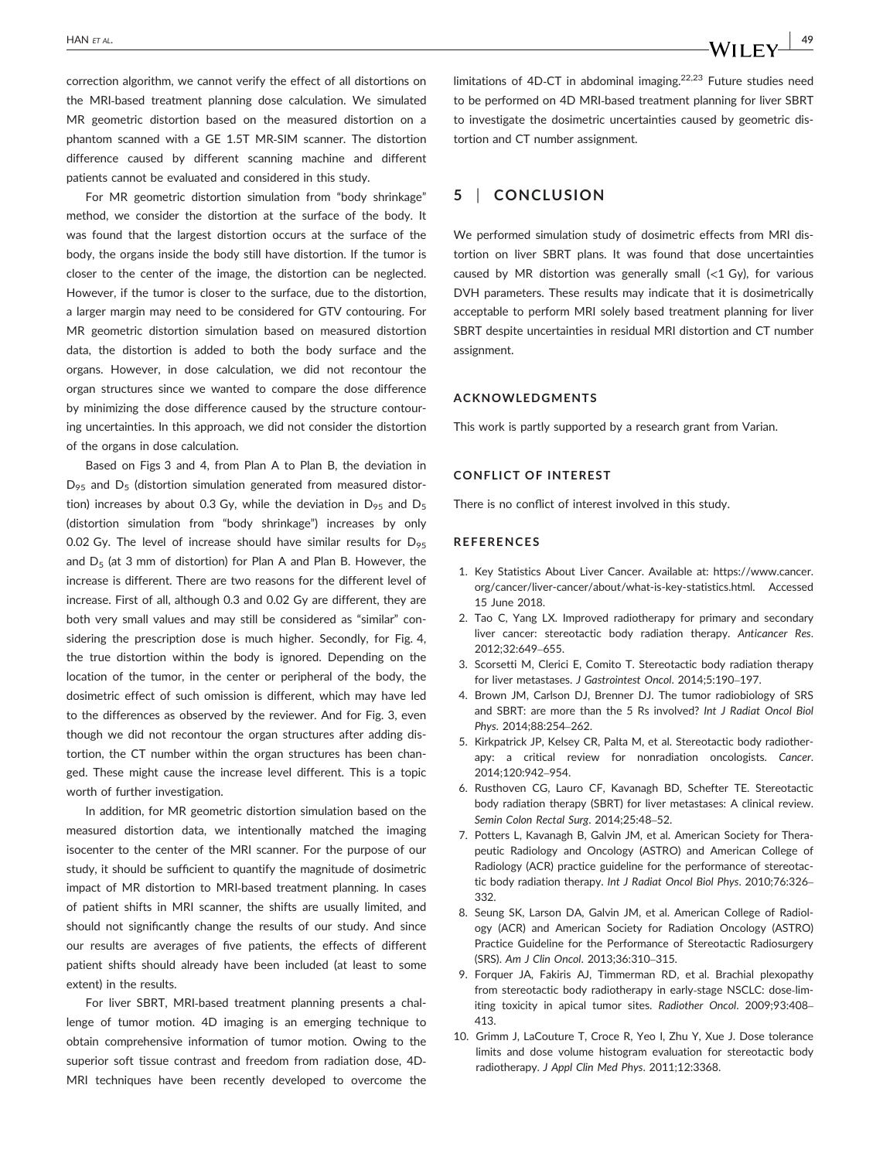correction algorithm, we cannot verify the effect of all distortions on the MRI‐based treatment planning dose calculation. We simulated MR geometric distortion based on the measured distortion on a phantom scanned with a GE 1.5T MR‐SIM scanner. The distortion difference caused by different scanning machine and different patients cannot be evaluated and considered in this study.

For MR geometric distortion simulation from "body shrinkage" method, we consider the distortion at the surface of the body. It was found that the largest distortion occurs at the surface of the body, the organs inside the body still have distortion. If the tumor is closer to the center of the image, the distortion can be neglected. However, if the tumor is closer to the surface, due to the distortion, a larger margin may need to be considered for GTV contouring. For MR geometric distortion simulation based on measured distortion data, the distortion is added to both the body surface and the organs. However, in dose calculation, we did not recontour the organ structures since we wanted to compare the dose difference by minimizing the dose difference caused by the structure contouring uncertainties. In this approach, we did not consider the distortion of the organs in dose calculation.

Based on Figs 3 and 4, from Plan A to Plan B, the deviation in  $D_{95}$  and  $D_{5}$  (distortion simulation generated from measured distortion) increases by about 0.3 Gy, while the deviation in  $D_{95}$  and  $D_{5}$ (distortion simulation from "body shrinkage") increases by only 0.02 Gy. The level of increase should have similar results for  $D_{95}$ and  $D_5$  (at 3 mm of distortion) for Plan A and Plan B. However, the increase is different. There are two reasons for the different level of increase. First of all, although 0.3 and 0.02 Gy are different, they are both very small values and may still be considered as "similar" considering the prescription dose is much higher. Secondly, for Fig. 4, the true distortion within the body is ignored. Depending on the location of the tumor, in the center or peripheral of the body, the dosimetric effect of such omission is different, which may have led to the differences as observed by the reviewer. And for Fig. 3, even though we did not recontour the organ structures after adding distortion, the CT number within the organ structures has been changed. These might cause the increase level different. This is a topic worth of further investigation.

In addition, for MR geometric distortion simulation based on the measured distortion data, we intentionally matched the imaging isocenter to the center of the MRI scanner. For the purpose of our study, it should be sufficient to quantify the magnitude of dosimetric impact of MR distortion to MRI‐based treatment planning. In cases of patient shifts in MRI scanner, the shifts are usually limited, and should not significantly change the results of our study. And since our results are averages of five patients, the effects of different patient shifts should already have been included (at least to some extent) in the results.

For liver SBRT, MRI-based treatment planning presents a challenge of tumor motion. 4D imaging is an emerging technique to obtain comprehensive information of tumor motion. Owing to the superior soft tissue contrast and freedom from radiation dose, 4D‐ MRI techniques have been recently developed to overcome the limitations of 4D-CT in abdominal imaging.<sup>22,23</sup> Future studies need to be performed on 4D MRI‐based treatment planning for liver SBRT to investigate the dosimetric uncertainties caused by geometric distortion and CT number assignment.

#### 5 | CONCLUSION

We performed simulation study of dosimetric effects from MRI distortion on liver SBRT plans. It was found that dose uncertainties caused by MR distortion was generally small  $\langle$ <1 Gy), for various DVH parameters. These results may indicate that it is dosimetrically acceptable to perform MRI solely based treatment planning for liver SBRT despite uncertainties in residual MRI distortion and CT number assignment.

#### ACKNOWLEDGMENTS

This work is partly supported by a research grant from Varian.

#### CONFLICT OF INTEREST

There is no conflict of interest involved in this study.

#### REFERENCES

- 1. Key Statistics About Liver Cancer. Available at: [https://www.cancer.](https://www.cancer.org/cancer/liver-cancer/about/what-is-key-statistics.html) [org/cancer/liver-cancer/about/what-is-key-statistics.html.](https://www.cancer.org/cancer/liver-cancer/about/what-is-key-statistics.html) Accessed 15 June 2018.
- 2. Tao C, Yang LX. Improved radiotherapy for primary and secondary liver cancer: stereotactic body radiation therapy. Anticancer Res. 2012;32:649–655.
- 3. Scorsetti M, Clerici E, Comito T. Stereotactic body radiation therapy for liver metastases. J Gastrointest Oncol. 2014;5:190–197.
- 4. Brown JM, Carlson DJ, Brenner DJ. The tumor radiobiology of SRS and SBRT: are more than the 5 Rs involved? Int J Radiat Oncol Biol Phys. 2014;88:254–262.
- 5. Kirkpatrick JP, Kelsey CR, Palta M, et al. Stereotactic body radiotherapy: a critical review for nonradiation oncologists. Cancer. 2014;120:942–954.
- 6. Rusthoven CG, Lauro CF, Kavanagh BD, Schefter TE. Stereotactic body radiation therapy (SBRT) for liver metastases: A clinical review. Semin Colon Rectal Surg. 2014;25:48–52.
- 7. Potters L, Kavanagh B, Galvin JM, et al. American Society for Therapeutic Radiology and Oncology (ASTRO) and American College of Radiology (ACR) practice guideline for the performance of stereotactic body radiation therapy. Int J Radiat Oncol Biol Phys. 2010;76:326– 332.
- 8. Seung SK, Larson DA, Galvin JM, et al. American College of Radiology (ACR) and American Society for Radiation Oncology (ASTRO) Practice Guideline for the Performance of Stereotactic Radiosurgery (SRS). Am J Clin Oncol. 2013;36:310–315.
- 9. Forquer JA, Fakiris AJ, Timmerman RD, et al. Brachial plexopathy from stereotactic body radiotherapy in early‐stage NSCLC: dose‐limiting toxicity in apical tumor sites. Radiother Oncol. 2009;93:408– 413.
- 10. Grimm J, LaCouture T, Croce R, Yeo I, Zhu Y, Xue J. Dose tolerance limits and dose volume histogram evaluation for stereotactic body radiotherapy. J Appl Clin Med Phys. 2011;12:3368.